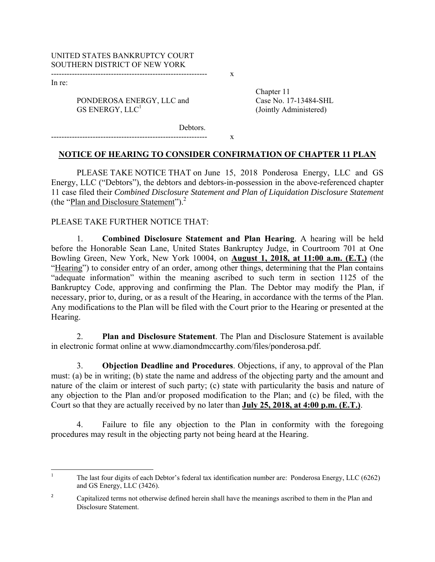In re:

PONDEROSA ENERGY, LLC and Case No. 17-13484-SHL GS ENERGY, LLC<sup>1</sup>

------------------------------------------------------------ x

------------------------------------------------------------ x

 Chapter 11 (Jointly Administered)

Debtors.

## **NOTICE OF HEARING TO CONSIDER CONFIRMATION OF CHAPTER 11 PLAN**

PLEASE TAKE NOTICE THAT on June 15, 2018 Ponderosa Energy, LLC and GS Energy, LLC ("Debtors"), the debtors and debtors-in-possession in the above-referenced chapter 11 case filed their *Combined Disclosure Statement and Plan of Liquidation Disclosure Statement* (the "Plan and Disclosure Statement").<sup>2</sup>

## PLEASE TAKE FURTHER NOTICE THAT:

1. **Combined Disclosure Statement and Plan Hearing**. A hearing will be held before the Honorable Sean Lane, United States Bankruptcy Judge, in Courtroom 701 at One Bowling Green, New York, New York 10004, on **August 1, 2018, at 11:00 a.m. (E.T.)** (the "Hearing") to consider entry of an order, among other things, determining that the Plan contains "adequate information" within the meaning ascribed to such term in section 1125 of the Bankruptcy Code, approving and confirming the Plan. The Debtor may modify the Plan, if necessary, prior to, during, or as a result of the Hearing, in accordance with the terms of the Plan. Any modifications to the Plan will be filed with the Court prior to the Hearing or presented at the Hearing.

2. **Plan and Disclosure Statement**. The Plan and Disclosure Statement is available in electronic format online at www.diamondmccarthy.com/files/ponderosa.pdf.

3. **Objection Deadline and Procedures**. Objections, if any, to approval of the Plan must: (a) be in writing; (b) state the name and address of the objecting party and the amount and nature of the claim or interest of such party; (c) state with particularity the basis and nature of any objection to the Plan and/or proposed modification to the Plan; and (c) be filed, with the Court so that they are actually received by no later than **July 25, 2018, at 4:00 p.m. (E.T.)**.

4. Failure to file any objection to the Plan in conformity with the foregoing procedures may result in the objecting party not being heard at the Hearing.

<sup>1</sup> The last four digits of each Debtor's federal tax identification number are: Ponderosa Energy, LLC (6262) and GS Energy, LLC (3426).

<sup>2</sup> Capitalized terms not otherwise defined herein shall have the meanings ascribed to them in the Plan and Disclosure Statement.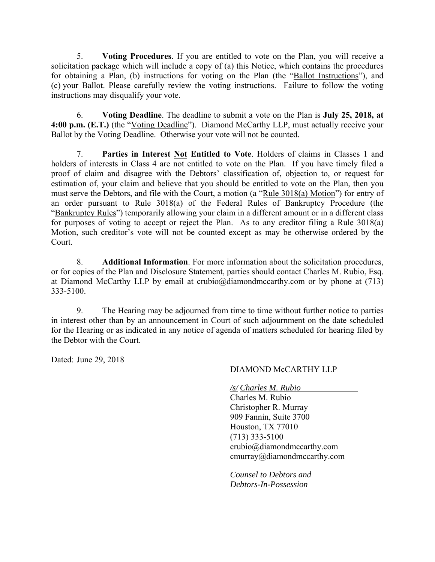5. **Voting Procedures**. If you are entitled to vote on the Plan, you will receive a solicitation package which will include a copy of (a) this Notice, which contains the procedures for obtaining a Plan, (b) instructions for voting on the Plan (the "Ballot Instructions"), and (c) your Ballot. Please carefully review the voting instructions. Failure to follow the voting instructions may disqualify your vote.

6. **Voting Deadline**. The deadline to submit a vote on the Plan is **July 25, 2018, at 4:00 p.m. (E.T.)** (the "Voting Deadline"). Diamond McCarthy LLP, must actually receive your Ballot by the Voting Deadline. Otherwise your vote will not be counted.

7. **Parties in Interest Not Entitled to Vote**. Holders of claims in Classes 1 and holders of interests in Class 4 are not entitled to vote on the Plan. If you have timely filed a proof of claim and disagree with the Debtors' classification of, objection to, or request for estimation of, your claim and believe that you should be entitled to vote on the Plan, then you must serve the Debtors, and file with the Court, a motion (a "Rule 3018(a) Motion") for entry of an order pursuant to Rule 3018(a) of the Federal Rules of Bankruptcy Procedure (the "Bankruptcy Rules") temporarily allowing your claim in a different amount or in a different class for purposes of voting to accept or reject the Plan. As to any creditor filing a Rule 3018(a) Motion, such creditor's vote will not be counted except as may be otherwise ordered by the Court.

8. **Additional Information**. For more information about the solicitation procedures, or for copies of the Plan and Disclosure Statement, parties should contact Charles M. Rubio, Esq. at Diamond McCarthy LLP by email at crubio@diamondmccarthy.com or by phone at  $(713)$ 333-5100.

9. The Hearing may be adjourned from time to time without further notice to parties in interest other than by an announcement in Court of such adjournment on the date scheduled for the Hearing or as indicated in any notice of agenda of matters scheduled for hearing filed by the Debtor with the Court.

Dated: June 29, 2018

# DIAMOND McCARTHY LLP

*/s/ Charles M. Rubio* 

Charles M. Rubio Christopher R. Murray 909 Fannin, Suite 3700 Houston, TX 77010 (713) 333-5100 crubio@diamondmccarthy.com cmurray@diamondmccarthy.com

*Counsel to Debtors and Debtors-In-Possession*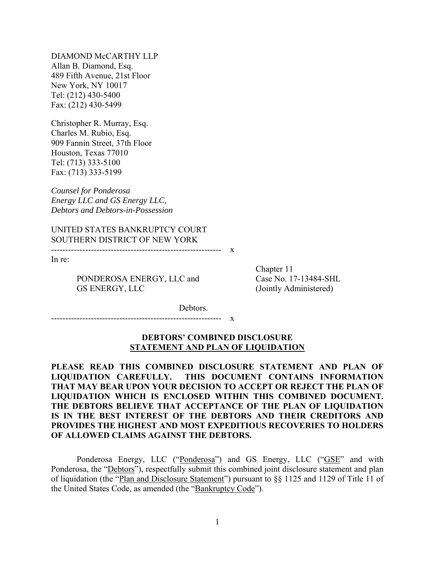DIAMOND McCARTHY LLP Allan B. Diamond, Esq. 489 Fifth Avenue, 21st Floor New York, NY 10017 Tel: (212) 430-5400 Fax: (212) 430-5499

Christopher R. Murray, Esq. Charles M. Rubio, Esq. 909 Fannin Street, 37th Floor Houston, Texas 77010 Tel: (713) 333-5100 Fax: (713) 333-5199

*Counsel for Ponderosa Energy LLC and GS Energy LLC, Debtors and Debtors-in-Possession* 

UNITED STATES BANKRUPTCY COURT SOUTHERN DISTRICT OF NEW YORK

------------------------------------------------------------ x

In re:

PONDEROSA ENERGY, LLC and Case No. 17-13484-SHL GS ENERGY, LLC (Jointly Administered)

Chapter 11

Debtors.

------------------------------------------------------------ x

## **DEBTORS' COMBINED DISCLOSURE STATEMENT AND PLAN OF LIQUIDATION**

**PLEASE READ THIS COMBINED DISCLOSURE STATEMENT AND PLAN OF LIQUIDATION CAREFULLY. THIS DOCUMENT CONTAINS INFORMATION THAT MAY BEAR UPON YOUR DECISION TO ACCEPT OR REJECT THE PLAN OF LIQUIDATION WHICH IS ENCLOSED WITHIN THIS COMBINED DOCUMENT. THE DEBTORS BELIEVE THAT ACCEPTANCE OF THE PLAN OF LIQUIDATION IS IN THE BEST INTEREST OF THE DEBTORS AND THEIR CREDITORS AND PROVIDES THE HIGHEST AND MOST EXPEDITIOUS RECOVERIES TO HOLDERS OF ALLOWED CLAIMS AGAINST THE DEBTORS.** 

Ponderosa Energy, LLC ("Ponderosa") and GS Energy, LLC ("GSE" and with Ponderosa, the "Debtors"), respectfully submit this combined joint disclosure statement and plan of liquidation (the "Plan and Disclosure Statement") pursuant to §§ 1125 and 1129 of Title 11 of the United States Code, as amended (the "Bankruptcy Code").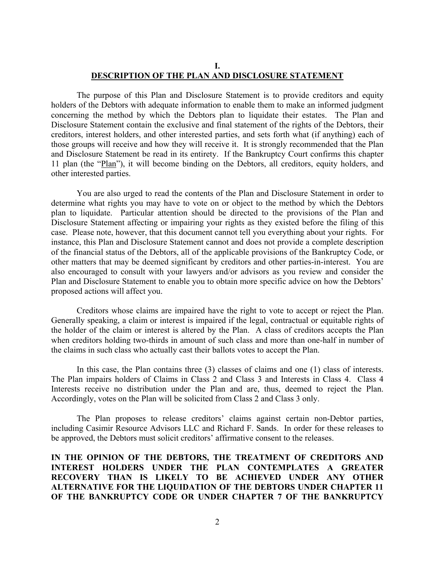## **I. DESCRIPTION OF THE PLAN AND DISCLOSURE STATEMENT**

The purpose of this Plan and Disclosure Statement is to provide creditors and equity holders of the Debtors with adequate information to enable them to make an informed judgment concerning the method by which the Debtors plan to liquidate their estates. The Plan and Disclosure Statement contain the exclusive and final statement of the rights of the Debtors, their creditors, interest holders, and other interested parties, and sets forth what (if anything) each of those groups will receive and how they will receive it. It is strongly recommended that the Plan and Disclosure Statement be read in its entirety. If the Bankruptcy Court confirms this chapter 11 plan (the "Plan"), it will become binding on the Debtors, all creditors, equity holders, and other interested parties.

You are also urged to read the contents of the Plan and Disclosure Statement in order to determine what rights you may have to vote on or object to the method by which the Debtors plan to liquidate. Particular attention should be directed to the provisions of the Plan and Disclosure Statement affecting or impairing your rights as they existed before the filing of this case. Please note, however, that this document cannot tell you everything about your rights. For instance, this Plan and Disclosure Statement cannot and does not provide a complete description of the financial status of the Debtors, all of the applicable provisions of the Bankruptcy Code, or other matters that may be deemed significant by creditors and other parties-in-interest. You are also encouraged to consult with your lawyers and/or advisors as you review and consider the Plan and Disclosure Statement to enable you to obtain more specific advice on how the Debtors' proposed actions will affect you.

Creditors whose claims are impaired have the right to vote to accept or reject the Plan. Generally speaking, a claim or interest is impaired if the legal, contractual or equitable rights of the holder of the claim or interest is altered by the Plan. A class of creditors accepts the Plan when creditors holding two-thirds in amount of such class and more than one-half in number of the claims in such class who actually cast their ballots votes to accept the Plan.

In this case, the Plan contains three (3) classes of claims and one (1) class of interests. The Plan impairs holders of Claims in Class 2 and Class 3 and Interests in Class 4. Class 4 Interests receive no distribution under the Plan and are, thus, deemed to reject the Plan. Accordingly, votes on the Plan will be solicited from Class 2 and Class 3 only.

The Plan proposes to release creditors' claims against certain non-Debtor parties, including Casimir Resource Advisors LLC and Richard F. Sands. In order for these releases to be approved, the Debtors must solicit creditors' affirmative consent to the releases.

**IN THE OPINION OF THE DEBTORS, THE TREATMENT OF CREDITORS AND INTEREST HOLDERS UNDER THE PLAN CONTEMPLATES A GREATER RECOVERY THAN IS LIKELY TO BE ACHIEVED UNDER ANY OTHER ALTERNATIVE FOR THE LIQUIDATION OF THE DEBTORS UNDER CHAPTER 11 OF THE BANKRUPTCY CODE OR UNDER CHAPTER 7 OF THE BANKRUPTCY**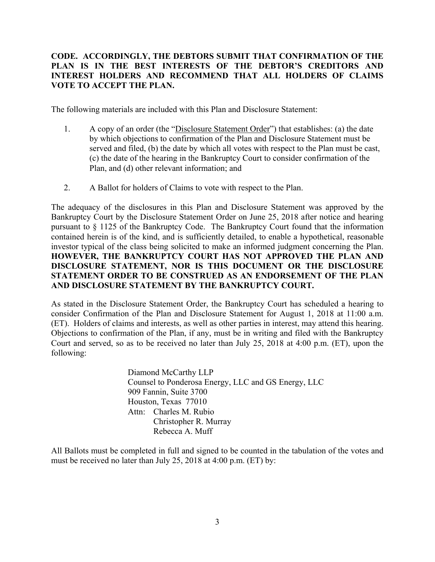# **CODE. ACCORDINGLY, THE DEBTORS SUBMIT THAT CONFIRMATION OF THE PLAN IS IN THE BEST INTERESTS OF THE DEBTOR'S CREDITORS AND INTEREST HOLDERS AND RECOMMEND THAT ALL HOLDERS OF CLAIMS VOTE TO ACCEPT THE PLAN.**

The following materials are included with this Plan and Disclosure Statement:

- 1. A copy of an order (the "Disclosure Statement Order") that establishes: (a) the date by which objections to confirmation of the Plan and Disclosure Statement must be served and filed, (b) the date by which all votes with respect to the Plan must be cast, (c) the date of the hearing in the Bankruptcy Court to consider confirmation of the Plan, and (d) other relevant information; and
- 2. A Ballot for holders of Claims to vote with respect to the Plan.

The adequacy of the disclosures in this Plan and Disclosure Statement was approved by the Bankruptcy Court by the Disclosure Statement Order on June 25, 2018 after notice and hearing pursuant to § 1125 of the Bankruptcy Code. The Bankruptcy Court found that the information contained herein is of the kind, and is sufficiently detailed, to enable a hypothetical, reasonable investor typical of the class being solicited to make an informed judgment concerning the Plan. **HOWEVER, THE BANKRUPTCY COURT HAS NOT APPROVED THE PLAN AND DISCLOSURE STATEMENT, NOR IS THIS DOCUMENT OR THE DISCLOSURE STATEMENT ORDER TO BE CONSTRUED AS AN ENDORSEMENT OF THE PLAN AND DISCLOSURE STATEMENT BY THE BANKRUPTCY COURT.** 

As stated in the Disclosure Statement Order, the Bankruptcy Court has scheduled a hearing to consider Confirmation of the Plan and Disclosure Statement for August 1, 2018 at 11:00 a.m. (ET). Holders of claims and interests, as well as other parties in interest, may attend this hearing. Objections to confirmation of the Plan, if any, must be in writing and filed with the Bankruptcy Court and served, so as to be received no later than July 25, 2018 at 4:00 p.m. (ET), upon the following:

> Diamond McCarthy LLP Counsel to Ponderosa Energy, LLC and GS Energy, LLC 909 Fannin, Suite 3700 Houston, Texas 77010 Attn: Charles M. Rubio Christopher R. Murray Rebecca A. Muff

All Ballots must be completed in full and signed to be counted in the tabulation of the votes and must be received no later than July 25, 2018 at 4:00 p.m. (ET) by: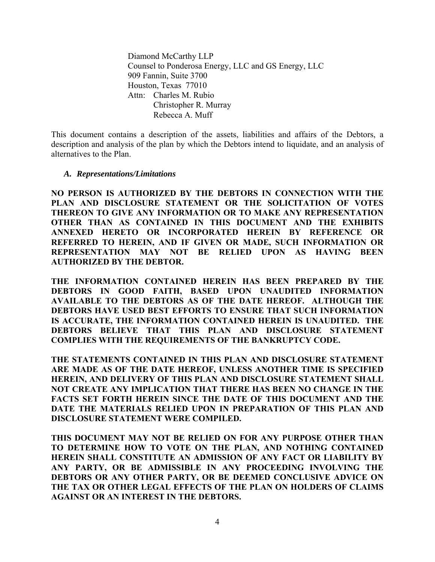Diamond McCarthy LLP Counsel to Ponderosa Energy, LLC and GS Energy, LLC 909 Fannin, Suite 3700 Houston, Texas 77010 Attn: Charles M. Rubio Christopher R. Murray Rebecca A. Muff

This document contains a description of the assets, liabilities and affairs of the Debtors, a description and analysis of the plan by which the Debtors intend to liquidate, and an analysis of alternatives to the Plan.

## *A. Representations/Limitations*

**NO PERSON IS AUTHORIZED BY THE DEBTORS IN CONNECTION WITH THE PLAN AND DISCLOSURE STATEMENT OR THE SOLICITATION OF VOTES THEREON TO GIVE ANY INFORMATION OR TO MAKE ANY REPRESENTATION OTHER THAN AS CONTAINED IN THIS DOCUMENT AND THE EXHIBITS ANNEXED HERETO OR INCORPORATED HEREIN BY REFERENCE OR REFERRED TO HEREIN, AND IF GIVEN OR MADE, SUCH INFORMATION OR REPRESENTATION MAY NOT BE RELIED UPON AS HAVING BEEN AUTHORIZED BY THE DEBTOR.** 

**THE INFORMATION CONTAINED HEREIN HAS BEEN PREPARED BY THE DEBTORS IN GOOD FAITH, BASED UPON UNAUDITED INFORMATION AVAILABLE TO THE DEBTORS AS OF THE DATE HEREOF. ALTHOUGH THE DEBTORS HAVE USED BEST EFFORTS TO ENSURE THAT SUCH INFORMATION IS ACCURATE, THE INFORMATION CONTAINED HEREIN IS UNAUDITED. THE DEBTORS BELIEVE THAT THIS PLAN AND DISCLOSURE STATEMENT COMPLIES WITH THE REQUIREMENTS OF THE BANKRUPTCY CODE.** 

**THE STATEMENTS CONTAINED IN THIS PLAN AND DISCLOSURE STATEMENT ARE MADE AS OF THE DATE HEREOF, UNLESS ANOTHER TIME IS SPECIFIED HEREIN, AND DELIVERY OF THIS PLAN AND DISCLOSURE STATEMENT SHALL NOT CREATE ANY IMPLICATION THAT THERE HAS BEEN NO CHANGE IN THE FACTS SET FORTH HEREIN SINCE THE DATE OF THIS DOCUMENT AND THE DATE THE MATERIALS RELIED UPON IN PREPARATION OF THIS PLAN AND DISCLOSURE STATEMENT WERE COMPILED.** 

**THIS DOCUMENT MAY NOT BE RELIED ON FOR ANY PURPOSE OTHER THAN TO DETERMINE HOW TO VOTE ON THE PLAN, AND NOTHING CONTAINED HEREIN SHALL CONSTITUTE AN ADMISSION OF ANY FACT OR LIABILITY BY ANY PARTY, OR BE ADMISSIBLE IN ANY PROCEEDING INVOLVING THE DEBTORS OR ANY OTHER PARTY, OR BE DEEMED CONCLUSIVE ADVICE ON THE TAX OR OTHER LEGAL EFFECTS OF THE PLAN ON HOLDERS OF CLAIMS AGAINST OR AN INTEREST IN THE DEBTORS.**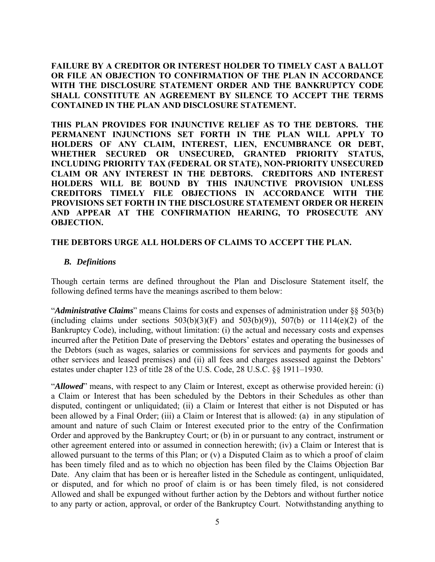**FAILURE BY A CREDITOR OR INTEREST HOLDER TO TIMELY CAST A BALLOT OR FILE AN OBJECTION TO CONFIRMATION OF THE PLAN IN ACCORDANCE WITH THE DISCLOSURE STATEMENT ORDER AND THE BANKRUPTCY CODE SHALL CONSTITUTE AN AGREEMENT BY SILENCE TO ACCEPT THE TERMS CONTAINED IN THE PLAN AND DISCLOSURE STATEMENT.** 

**THIS PLAN PROVIDES FOR INJUNCTIVE RELIEF AS TO THE DEBTORS. THE PERMANENT INJUNCTIONS SET FORTH IN THE PLAN WILL APPLY TO HOLDERS OF ANY CLAIM, INTEREST, LIEN, ENCUMBRANCE OR DEBT, WHETHER SECURED OR UNSECURED, GRANTED PRIORITY STATUS, INCLUDING PRIORITY TAX (FEDERAL OR STATE), NON-PRIORITY UNSECURED CLAIM OR ANY INTEREST IN THE DEBTORS. CREDITORS AND INTEREST HOLDERS WILL BE BOUND BY THIS INJUNCTIVE PROVISION UNLESS CREDITORS TIMELY FILE OBJECTIONS IN ACCORDANCE WITH THE PROVISIONS SET FORTH IN THE DISCLOSURE STATEMENT ORDER OR HEREIN AND APPEAR AT THE CONFIRMATION HEARING, TO PROSECUTE ANY OBJECTION.** 

## **THE DEBTORS URGE ALL HOLDERS OF CLAIMS TO ACCEPT THE PLAN.**

## *B. Definitions*

Though certain terms are defined throughout the Plan and Disclosure Statement itself, the following defined terms have the meanings ascribed to them below:

"*Administrative Claims*" means Claims for costs and expenses of administration under §§ 503(b) (including claims under sections  $503(b)(3)(F)$  and  $503(b)(9)$ ),  $507(b)$  or  $1114(e)(2)$  of the Bankruptcy Code), including, without limitation: (i) the actual and necessary costs and expenses incurred after the Petition Date of preserving the Debtors' estates and operating the businesses of the Debtors (such as wages, salaries or commissions for services and payments for goods and other services and leased premises) and (ii) all fees and charges assessed against the Debtors' estates under chapter 123 of title 28 of the U.S. Code, 28 U.S.C. §§ 1911–1930.

"*Allowed*" means, with respect to any Claim or Interest, except as otherwise provided herein: (i) a Claim or Interest that has been scheduled by the Debtors in their Schedules as other than disputed, contingent or unliquidated; (ii) a Claim or Interest that either is not Disputed or has been allowed by a Final Order; (iii) a Claim or Interest that is allowed: (a) in any stipulation of amount and nature of such Claim or Interest executed prior to the entry of the Confirmation Order and approved by the Bankruptcy Court; or (b) in or pursuant to any contract, instrument or other agreement entered into or assumed in connection herewith; (iv) a Claim or Interest that is allowed pursuant to the terms of this Plan; or (v) a Disputed Claim as to which a proof of claim has been timely filed and as to which no objection has been filed by the Claims Objection Bar Date. Any claim that has been or is hereafter listed in the Schedule as contingent, unliquidated, or disputed, and for which no proof of claim is or has been timely filed, is not considered Allowed and shall be expunged without further action by the Debtors and without further notice to any party or action, approval, or order of the Bankruptcy Court. Notwithstanding anything to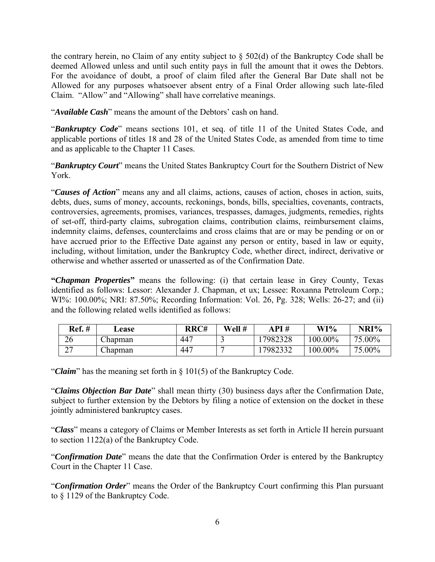the contrary herein, no Claim of any entity subject to § 502(d) of the Bankruptcy Code shall be deemed Allowed unless and until such entity pays in full the amount that it owes the Debtors. For the avoidance of doubt, a proof of claim filed after the General Bar Date shall not be Allowed for any purposes whatsoever absent entry of a Final Order allowing such late-filed Claim. "Allow" and "Allowing" shall have correlative meanings.

"*Available Cash*" means the amount of the Debtors' cash on hand.

"*Bankruptcy Code*" means sections 101, et seq. of title 11 of the United States Code, and applicable portions of titles 18 and 28 of the United States Code, as amended from time to time and as applicable to the Chapter 11 Cases.

"*Bankruptcy Court*" means the United States Bankruptcy Court for the Southern District of New York.

"*Causes of Action*" means any and all claims, actions, causes of action, choses in action, suits, debts, dues, sums of money, accounts, reckonings, bonds, bills, specialties, covenants, contracts, controversies, agreements, promises, variances, trespasses, damages, judgments, remedies, rights of set-off, third-party claims, subrogation claims, contribution claims, reimbursement claims, indemnity claims, defenses, counterclaims and cross claims that are or may be pending or on or have accrued prior to the Effective Date against any person or entity, based in law or equity, including, without limitation, under the Bankruptcy Code, whether direct, indirect, derivative or otherwise and whether asserted or unasserted as of the Confirmation Date.

**"***Chapman Properties***"** means the following: (i) that certain lease in Grey County, Texas identified as follows: Lessor: Alexander J. Chapman, et ux; Lessee: Roxanna Petroleum Corp.; WI%: 100.00%; NRI: 87.50%; Recording Information: Vol. 26, Pg. 328; Wells: 26-27; and (ii) and the following related wells identified as follows:

| Ref.#                                     | <b>Lease</b> | RRC# | Well # | API#     | $WI$ %     | NRI%   |
|-------------------------------------------|--------------|------|--------|----------|------------|--------|
| 26                                        | Chapman J    | 447  |        | 17982328 | $100.00\%$ | 75.00% |
| $\sim$ $\sim$<br>$\overline{\phantom{0}}$ | hapman_      | 447  |        | 7982332  | $100.00\%$ | 75.00% |

"*Claim*" has the meaning set forth in § 101(5) of the Bankruptcy Code.

"*Claims Objection Bar Date*" shall mean thirty (30) business days after the Confirmation Date, subject to further extension by the Debtors by filing a notice of extension on the docket in these jointly administered bankruptcy cases.

"*Class*" means a category of Claims or Member Interests as set forth in Article II herein pursuant to section 1122(a) of the Bankruptcy Code.

"*Confirmation Date*" means the date that the Confirmation Order is entered by the Bankruptcy Court in the Chapter 11 Case.

"*Confirmation Order*" means the Order of the Bankruptcy Court confirming this Plan pursuant to § 1129 of the Bankruptcy Code.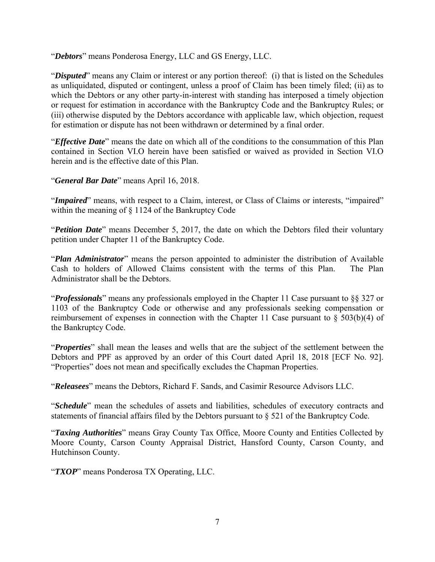"*Debtors*" means Ponderosa Energy, LLC and GS Energy, LLC.

"*Disputed*" means any Claim or interest or any portion thereof: (i) that is listed on the Schedules as unliquidated, disputed or contingent, unless a proof of Claim has been timely filed; (ii) as to which the Debtors or any other party-in-interest with standing has interposed a timely objection or request for estimation in accordance with the Bankruptcy Code and the Bankruptcy Rules; or (iii) otherwise disputed by the Debtors accordance with applicable law, which objection, request for estimation or dispute has not been withdrawn or determined by a final order.

"*Effective Date*" means the date on which all of the conditions to the consummation of this Plan contained in Section VI.O herein have been satisfied or waived as provided in Section VI.O herein and is the effective date of this Plan.

"*General Bar Date*" means April 16, 2018.

"*Impaired*" means, with respect to a Claim, interest, or Class of Claims or interests, "impaired" within the meaning of § 1124 of the Bankruptcy Code

"*Petition Date*" means December 5, 2017, the date on which the Debtors filed their voluntary petition under Chapter 11 of the Bankruptcy Code.

"*Plan Administrator*" means the person appointed to administer the distribution of Available Cash to holders of Allowed Claims consistent with the terms of this Plan. The Plan Administrator shall be the Debtors.

"*Professionals*" means any professionals employed in the Chapter 11 Case pursuant to §§ 327 or 1103 of the Bankruptcy Code or otherwise and any professionals seeking compensation or reimbursement of expenses in connection with the Chapter 11 Case pursuant to § 503(b)(4) of the Bankruptcy Code.

"*Properties*" shall mean the leases and wells that are the subject of the settlement between the Debtors and PPF as approved by an order of this Court dated April 18, 2018 [ECF No. 92]. "Properties" does not mean and specifically excludes the Chapman Properties.

"*Releasees*" means the Debtors, Richard F. Sands, and Casimir Resource Advisors LLC.

"*Schedule*" mean the schedules of assets and liabilities, schedules of executory contracts and statements of financial affairs filed by the Debtors pursuant to § 521 of the Bankruptcy Code.

"*Taxing Authorities*" means Gray County Tax Office, Moore County and Entities Collected by Moore County, Carson County Appraisal District, Hansford County, Carson County, and Hutchinson County.

"*TXOP*" means Ponderosa TX Operating, LLC.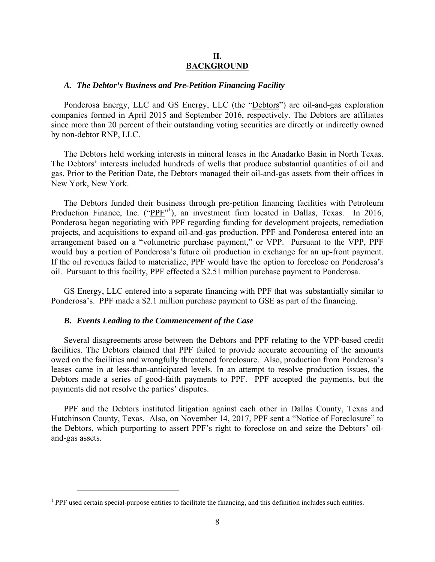## **II. BACKGROUND**

## *A. The Debtor's Business and Pre-Petition Financing Facility*

Ponderosa Energy, LLC and GS Energy, LLC (the "Debtors") are oil-and-gas exploration companies formed in April 2015 and September 2016, respectively. The Debtors are affiliates since more than 20 percent of their outstanding voting securities are directly or indirectly owned by non-debtor RNP, LLC.

The Debtors held working interests in mineral leases in the Anadarko Basin in North Texas. The Debtors' interests included hundreds of wells that produce substantial quantities of oil and gas. Prior to the Petition Date, the Debtors managed their oil-and-gas assets from their offices in New York, New York.

The Debtors funded their business through pre-petition financing facilities with Petroleum Production Finance, Inc. ("PPF"<sup>1</sup>), an investment firm located in Dallas, Texas. In 2016, Ponderosa began negotiating with PPF regarding funding for development projects, remediation projects, and acquisitions to expand oil-and-gas production. PPF and Ponderosa entered into an arrangement based on a "volumetric purchase payment," or VPP. Pursuant to the VPP, PPF would buy a portion of Ponderosa's future oil production in exchange for an up-front payment. If the oil revenues failed to materialize, PPF would have the option to foreclose on Ponderosa's oil. Pursuant to this facility, PPF effected a \$2.51 million purchase payment to Ponderosa.

GS Energy, LLC entered into a separate financing with PPF that was substantially similar to Ponderosa's. PPF made a \$2.1 million purchase payment to GSE as part of the financing.

#### *B. Events Leading to the Commencement of the Case*

 $\overline{a}$ 

Several disagreements arose between the Debtors and PPF relating to the VPP-based credit facilities. The Debtors claimed that PPF failed to provide accurate accounting of the amounts owed on the facilities and wrongfully threatened foreclosure. Also, production from Ponderosa's leases came in at less-than-anticipated levels. In an attempt to resolve production issues, the Debtors made a series of good-faith payments to PPF. PPF accepted the payments, but the payments did not resolve the parties' disputes.

PPF and the Debtors instituted litigation against each other in Dallas County, Texas and Hutchinson County, Texas. Also, on November 14, 2017, PPF sent a "Notice of Foreclosure" to the Debtors, which purporting to assert PPF's right to foreclose on and seize the Debtors' oiland-gas assets.

<sup>&</sup>lt;sup>1</sup> PPF used certain special-purpose entities to facilitate the financing, and this definition includes such entities.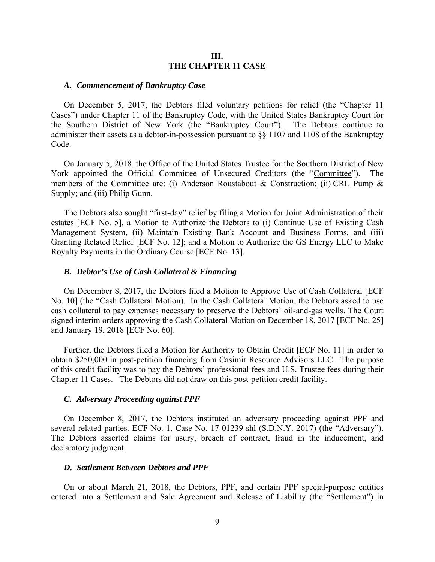## **III. THE CHAPTER 11 CASE**

#### *A. Commencement of Bankruptcy Case*

On December 5, 2017, the Debtors filed voluntary petitions for relief (the "Chapter 11 Cases") under Chapter 11 of the Bankruptcy Code, with the United States Bankruptcy Court for the Southern District of New York (the "Bankruptcy Court"). The Debtors continue to administer their assets as a debtor-in-possession pursuant to §§ 1107 and 1108 of the Bankruptcy Code.

On January 5, 2018, the Office of the United States Trustee for the Southern District of New York appointed the Official Committee of Unsecured Creditors (the "Committee"). members of the Committee are: (i) Anderson Roustabout & Construction; (ii) CRL Pump & Supply; and (iii) Philip Gunn.

The Debtors also sought "first-day" relief by filing a Motion for Joint Administration of their estates [ECF No. 5], a Motion to Authorize the Debtors to (i) Continue Use of Existing Cash Management System, (ii) Maintain Existing Bank Account and Business Forms, and (iii) Granting Related Relief [ECF No. 12]; and a Motion to Authorize the GS Energy LLC to Make Royalty Payments in the Ordinary Course [ECF No. 13].

#### *B. Debtor's Use of Cash Collateral & Financing*

On December 8, 2017, the Debtors filed a Motion to Approve Use of Cash Collateral [ECF No. 10] (the "Cash Collateral Motion). In the Cash Collateral Motion, the Debtors asked to use cash collateral to pay expenses necessary to preserve the Debtors' oil-and-gas wells. The Court signed interim orders approving the Cash Collateral Motion on December 18, 2017 [ECF No. 25] and January 19, 2018 [ECF No. 60].

Further, the Debtors filed a Motion for Authority to Obtain Credit [ECF No. 11] in order to obtain \$250,000 in post-petition financing from Casimir Resource Advisors LLC. The purpose of this credit facility was to pay the Debtors' professional fees and U.S. Trustee fees during their Chapter 11 Cases. The Debtors did not draw on this post-petition credit facility.

#### *C. Adversary Proceeding against PPF*

On December 8, 2017, the Debtors instituted an adversary proceeding against PPF and several related parties. ECF No. 1, Case No. 17-01239-shl (S.D.N.Y. 2017) (the "Adversary"). The Debtors asserted claims for usury, breach of contract, fraud in the inducement, and declaratory judgment.

#### *D. Settlement Between Debtors and PPF*

On or about March 21, 2018, the Debtors, PPF, and certain PPF special-purpose entities entered into a Settlement and Sale Agreement and Release of Liability (the "Settlement") in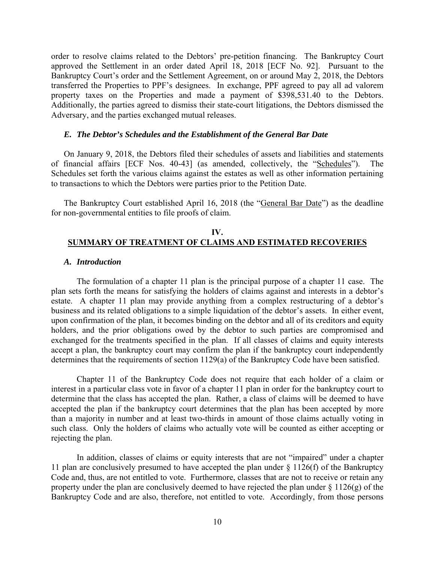order to resolve claims related to the Debtors' pre-petition financing. The Bankruptcy Court approved the Settlement in an order dated April 18, 2018 [ECF No. 92]. Pursuant to the Bankruptcy Court's order and the Settlement Agreement, on or around May 2, 2018, the Debtors transferred the Properties to PPF's designees. In exchange, PPF agreed to pay all ad valorem property taxes on the Properties and made a payment of \$398,531.40 to the Debtors. Additionally, the parties agreed to dismiss their state-court litigations, the Debtors dismissed the Adversary, and the parties exchanged mutual releases.

#### *E. The Debtor's Schedules and the Establishment of the General Bar Date*

On January 9, 2018, the Debtors filed their schedules of assets and liabilities and statements of financial affairs [ECF Nos. 40-43] (as amended, collectively, the "Schedules"). The Schedules set forth the various claims against the estates as well as other information pertaining to transactions to which the Debtors were parties prior to the Petition Date.

The Bankruptcy Court established April 16, 2018 (the "General Bar Date") as the deadline for non-governmental entities to file proofs of claim.

## **IV. SUMMARY OF TREATMENT OF CLAIMS AND ESTIMATED RECOVERIES**

#### *A. Introduction*

 The formulation of a chapter 11 plan is the principal purpose of a chapter 11 case. The plan sets forth the means for satisfying the holders of claims against and interests in a debtor's estate. A chapter 11 plan may provide anything from a complex restructuring of a debtor's business and its related obligations to a simple liquidation of the debtor's assets. In either event, upon confirmation of the plan, it becomes binding on the debtor and all of its creditors and equity holders, and the prior obligations owed by the debtor to such parties are compromised and exchanged for the treatments specified in the plan. If all classes of claims and equity interests accept a plan, the bankruptcy court may confirm the plan if the bankruptcy court independently determines that the requirements of section 1129(a) of the Bankruptcy Code have been satisfied.

 Chapter 11 of the Bankruptcy Code does not require that each holder of a claim or interest in a particular class vote in favor of a chapter 11 plan in order for the bankruptcy court to determine that the class has accepted the plan. Rather, a class of claims will be deemed to have accepted the plan if the bankruptcy court determines that the plan has been accepted by more than a majority in number and at least two-thirds in amount of those claims actually voting in such class. Only the holders of claims who actually vote will be counted as either accepting or rejecting the plan.

 In addition, classes of claims or equity interests that are not "impaired" under a chapter 11 plan are conclusively presumed to have accepted the plan under  $\S$  1126(f) of the Bankruptcy Code and, thus, are not entitled to vote. Furthermore, classes that are not to receive or retain any property under the plan are conclusively deemed to have rejected the plan under § 1126(g) of the Bankruptcy Code and are also, therefore, not entitled to vote. Accordingly, from those persons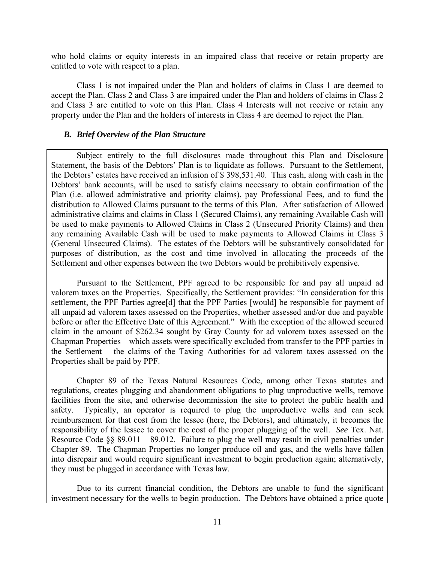who hold claims or equity interests in an impaired class that receive or retain property are entitled to vote with respect to a plan.

 Class 1 is not impaired under the Plan and holders of claims in Class 1 are deemed to accept the Plan. Class 2 and Class 3 are impaired under the Plan and holders of claims in Class 2 and Class 3 are entitled to vote on this Plan. Class 4 Interests will not receive or retain any property under the Plan and the holders of interests in Class 4 are deemed to reject the Plan.

#### *B. Brief Overview of the Plan Structure*

Subject entirely to the full disclosures made throughout this Plan and Disclosure Statement, the basis of the Debtors' Plan is to liquidate as follows. Pursuant to the Settlement, the Debtors' estates have received an infusion of \$ 398,531.40. This cash, along with cash in the Debtors' bank accounts, will be used to satisfy claims necessary to obtain confirmation of the Plan (i.e. allowed administrative and priority claims), pay Professional Fees, and to fund the distribution to Allowed Claims pursuant to the terms of this Plan. After satisfaction of Allowed administrative claims and claims in Class 1 (Secured Claims), any remaining Available Cash will be used to make payments to Allowed Claims in Class 2 (Unsecured Priority Claims) and then any remaining Available Cash will be used to make payments to Allowed Claims in Class 3 (General Unsecured Claims). The estates of the Debtors will be substantively consolidated for purposes of distribution, as the cost and time involved in allocating the proceeds of the Settlement and other expenses between the two Debtors would be prohibitively expensive.

Pursuant to the Settlement, PPF agreed to be responsible for and pay all unpaid ad valorem taxes on the Properties. Specifically, the Settlement provides: "In consideration for this settlement, the PPF Parties agree[d] that the PPF Parties [would] be responsible for payment of all unpaid ad valorem taxes assessed on the Properties, whether assessed and/or due and payable before or after the Effective Date of this Agreement." With the exception of the allowed secured claim in the amount of \$262.34 sought by Gray County for ad valorem taxes assessed on the Chapman Properties – which assets were specifically excluded from transfer to the PPF parties in the Settlement – the claims of the Taxing Authorities for ad valorem taxes assessed on the Properties shall be paid by PPF.

Chapter 89 of the Texas Natural Resources Code, among other Texas statutes and regulations, creates plugging and abandonment obligations to plug unproductive wells, remove facilities from the site, and otherwise decommission the site to protect the public health and safety. Typically, an operator is required to plug the unproductive wells and can seek reimbursement for that cost from the lessee (here, the Debtors), and ultimately, it becomes the responsibility of the lessee to cover the cost of the proper plugging of the well. *See* Tex. Nat. Resource Code  $\S$ § 89.011 – 89.012. Failure to plug the well may result in civil penalties under Chapter 89. The Chapman Properties no longer produce oil and gas, and the wells have fallen into disrepair and would require significant investment to begin production again; alternatively, they must be plugged in accordance with Texas law.

Due to its current financial condition, the Debtors are unable to fund the significant investment necessary for the wells to begin production. The Debtors have obtained a price quote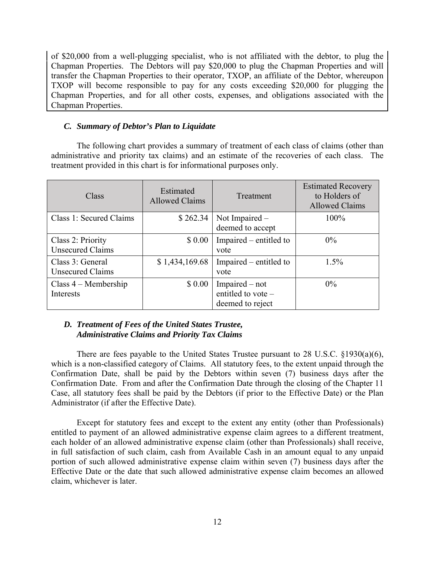of \$20,000 from a well-plugging specialist, who is not affiliated with the debtor, to plug the Chapman Properties. The Debtors will pay \$20,000 to plug the Chapman Properties and will transfer the Chapman Properties to their operator, TXOP, an affiliate of the Debtor, whereupon TXOP will become responsible to pay for any costs exceeding \$20,000 for plugging the Chapman Properties, and for all other costs, expenses, and obligations associated with the Chapman Properties.

## *C. Summary of Debtor's Plan to Liquidate*

The following chart provides a summary of treatment of each class of claims (other than administrative and priority tax claims) and an estimate of the recoveries of each class. The treatment provided in this chart is for informational purposes only.

| Class                                        | Estimated<br><b>Allowed Claims</b> | Treatment                                                  | <b>Estimated Recovery</b><br>to Holders of<br><b>Allowed Claims</b> |
|----------------------------------------------|------------------------------------|------------------------------------------------------------|---------------------------------------------------------------------|
| Class 1: Secured Claims                      | \$262.34                           | Not Impaired –<br>deemed to accept                         | 100%                                                                |
| Class 2: Priority<br><b>Unsecured Claims</b> | \$0.00                             | Impaired – entitled to<br>vote                             | $0\%$                                                               |
| Class 3: General<br>Unsecured Claims         | \$1,434,169.68                     | Impaired – entitled to<br>vote                             | $1.5\%$                                                             |
| Class $4 -$ Membership<br>Interests          | \$0.00                             | Impaired – not<br>entitled to vote $-$<br>deemed to reject | $0\%$                                                               |

# *D. Treatment of Fees of the United States Trustee, Administrative Claims and Priority Tax Claims*

There are fees payable to the United States Trustee pursuant to 28 U.S.C.  $\S 1930(a)(6)$ , which is a non-classified category of Claims. All statutory fees, to the extent unpaid through the Confirmation Date, shall be paid by the Debtors within seven (7) business days after the Confirmation Date. From and after the Confirmation Date through the closing of the Chapter 11 Case, all statutory fees shall be paid by the Debtors (if prior to the Effective Date) or the Plan Administrator (if after the Effective Date).

Except for statutory fees and except to the extent any entity (other than Professionals) entitled to payment of an allowed administrative expense claim agrees to a different treatment, each holder of an allowed administrative expense claim (other than Professionals) shall receive, in full satisfaction of such claim, cash from Available Cash in an amount equal to any unpaid portion of such allowed administrative expense claim within seven (7) business days after the Effective Date or the date that such allowed administrative expense claim becomes an allowed claim, whichever is later.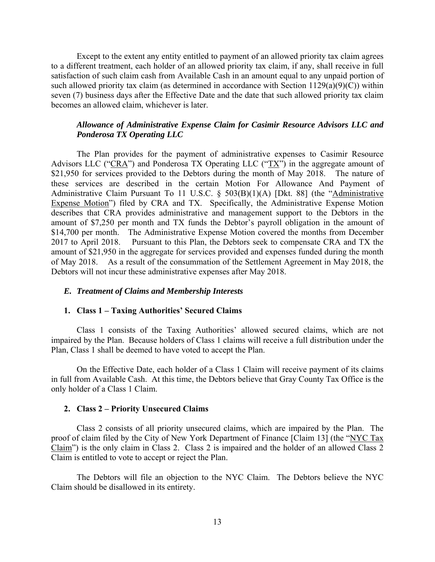Except to the extent any entity entitled to payment of an allowed priority tax claim agrees to a different treatment, each holder of an allowed priority tax claim, if any, shall receive in full satisfaction of such claim cash from Available Cash in an amount equal to any unpaid portion of such allowed priority tax claim (as determined in accordance with Section  $1129(a)(9)(C)$ ) within seven (7) business days after the Effective Date and the date that such allowed priority tax claim becomes an allowed claim, whichever is later.

# *Allowance of Administrative Expense Claim for Casimir Resource Advisors LLC and Ponderosa TX Operating LLC*

The Plan provides for the payment of administrative expenses to Casimir Resource Advisors LLC ("CRA") and Ponderosa TX Operating LLC (" $TX$ ") in the aggregate amount of \$21,950 for services provided to the Debtors during the month of May 2018. The nature of these services are described in the certain Motion For Allowance And Payment of Administrative Claim Pursuant To 11 U.S.C. § 503(B)(1)(A) [Dkt. 88] (the "Administrative Expense Motion") filed by CRA and TX. Specifically, the Administrative Expense Motion describes that CRA provides administrative and management support to the Debtors in the amount of \$7,250 per month and TX funds the Debtor's payroll obligation in the amount of \$14,700 per month. The Administrative Expense Motion covered the months from December 2017 to April 2018. Pursuant to this Plan, the Debtors seek to compensate CRA and TX the amount of \$21,950 in the aggregate for services provided and expenses funded during the month of May 2018. As a result of the consummation of the Settlement Agreement in May 2018, the Debtors will not incur these administrative expenses after May 2018.

### *E. Treatment of Claims and Membership Interests*

#### **1. Class 1 – Taxing Authorities' Secured Claims**

Class 1 consists of the Taxing Authorities' allowed secured claims, which are not impaired by the Plan. Because holders of Class 1 claims will receive a full distribution under the Plan, Class 1 shall be deemed to have voted to accept the Plan.

On the Effective Date, each holder of a Class 1 Claim will receive payment of its claims in full from Available Cash. At this time, the Debtors believe that Gray County Tax Office is the only holder of a Class 1 Claim.

#### **2. Class 2 – Priority Unsecured Claims**

Class 2 consists of all priority unsecured claims, which are impaired by the Plan. The proof of claim filed by the City of New York Department of Finance [Claim 13] (the "NYC Tax Claim") is the only claim in Class 2. Class 2 is impaired and the holder of an allowed Class 2 Claim is entitled to vote to accept or reject the Plan.

The Debtors will file an objection to the NYC Claim. The Debtors believe the NYC Claim should be disallowed in its entirety.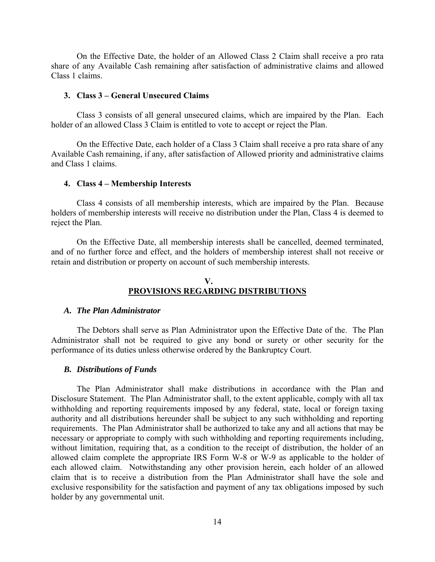On the Effective Date, the holder of an Allowed Class 2 Claim shall receive a pro rata share of any Available Cash remaining after satisfaction of administrative claims and allowed Class 1 claims.

#### **3. Class 3 – General Unsecured Claims**

Class 3 consists of all general unsecured claims, which are impaired by the Plan. Each holder of an allowed Class 3 Claim is entitled to vote to accept or reject the Plan.

On the Effective Date, each holder of a Class 3 Claim shall receive a pro rata share of any Available Cash remaining, if any, after satisfaction of Allowed priority and administrative claims and Class 1 claims.

#### **4. Class 4 – Membership Interests**

Class 4 consists of all membership interests, which are impaired by the Plan. Because holders of membership interests will receive no distribution under the Plan, Class 4 is deemed to reject the Plan.

On the Effective Date, all membership interests shall be cancelled, deemed terminated, and of no further force and effect, and the holders of membership interest shall not receive or retain and distribution or property on account of such membership interests.

## **V. PROVISIONS REGARDING DISTRIBUTIONS**

#### *A. The Plan Administrator*

The Debtors shall serve as Plan Administrator upon the Effective Date of the. The Plan Administrator shall not be required to give any bond or surety or other security for the performance of its duties unless otherwise ordered by the Bankruptcy Court.

#### *B. Distributions of Funds*

The Plan Administrator shall make distributions in accordance with the Plan and Disclosure Statement. The Plan Administrator shall, to the extent applicable, comply with all tax withholding and reporting requirements imposed by any federal, state, local or foreign taxing authority and all distributions hereunder shall be subject to any such withholding and reporting requirements. The Plan Administrator shall be authorized to take any and all actions that may be necessary or appropriate to comply with such withholding and reporting requirements including, without limitation, requiring that, as a condition to the receipt of distribution, the holder of an allowed claim complete the appropriate IRS Form W-8 or W-9 as applicable to the holder of each allowed claim. Notwithstanding any other provision herein, each holder of an allowed claim that is to receive a distribution from the Plan Administrator shall have the sole and exclusive responsibility for the satisfaction and payment of any tax obligations imposed by such holder by any governmental unit.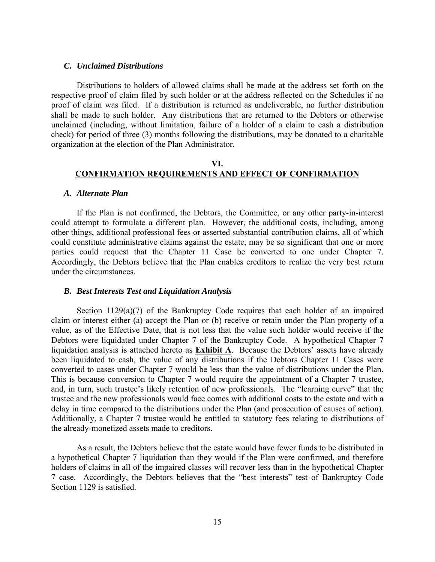#### *C. Unclaimed Distributions*

Distributions to holders of allowed claims shall be made at the address set forth on the respective proof of claim filed by such holder or at the address reflected on the Schedules if no proof of claim was filed. If a distribution is returned as undeliverable, no further distribution shall be made to such holder. Any distributions that are returned to the Debtors or otherwise unclaimed (including, without limitation, failure of a holder of a claim to cash a distribution check) for period of three (3) months following the distributions, may be donated to a charitable organization at the election of the Plan Administrator.

## **VI. CONFIRMATION REQUIREMENTS AND EFFECT OF CONFIRMATION**

#### *A. Alternate Plan*

If the Plan is not confirmed, the Debtors, the Committee, or any other party-in-interest could attempt to formulate a different plan. However, the additional costs, including, among other things, additional professional fees or asserted substantial contribution claims, all of which could constitute administrative claims against the estate, may be so significant that one or more parties could request that the Chapter 11 Case be converted to one under Chapter 7. Accordingly, the Debtors believe that the Plan enables creditors to realize the very best return under the circumstances.

#### *B. Best Interests Test and Liquidation Analysis*

Section  $1129(a)(7)$  of the Bankruptcy Code requires that each holder of an impaired claim or interest either (a) accept the Plan or (b) receive or retain under the Plan property of a value, as of the Effective Date, that is not less that the value such holder would receive if the Debtors were liquidated under Chapter 7 of the Bankruptcy Code. A hypothetical Chapter 7 liquidation analysis is attached hereto as **Exhibit A**. Because the Debtors' assets have already been liquidated to cash, the value of any distributions if the Debtors Chapter 11 Cases were converted to cases under Chapter 7 would be less than the value of distributions under the Plan. This is because conversion to Chapter 7 would require the appointment of a Chapter 7 trustee, and, in turn, such trustee's likely retention of new professionals. The "learning curve" that the trustee and the new professionals would face comes with additional costs to the estate and with a delay in time compared to the distributions under the Plan (and prosecution of causes of action). Additionally, a Chapter 7 trustee would be entitled to statutory fees relating to distributions of the already-monetized assets made to creditors.

As a result, the Debtors believe that the estate would have fewer funds to be distributed in a hypothetical Chapter 7 liquidation than they would if the Plan were confirmed, and therefore holders of claims in all of the impaired classes will recover less than in the hypothetical Chapter 7 case. Accordingly, the Debtors believes that the "best interests" test of Bankruptcy Code Section 1129 is satisfied.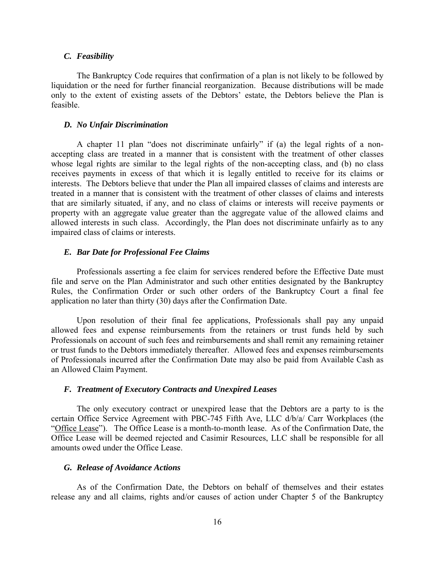#### *C. Feasibility*

The Bankruptcy Code requires that confirmation of a plan is not likely to be followed by liquidation or the need for further financial reorganization. Because distributions will be made only to the extent of existing assets of the Debtors' estate, the Debtors believe the Plan is feasible.

#### *D. No Unfair Discrimination*

A chapter 11 plan "does not discriminate unfairly" if (a) the legal rights of a nonaccepting class are treated in a manner that is consistent with the treatment of other classes whose legal rights are similar to the legal rights of the non-accepting class, and (b) no class receives payments in excess of that which it is legally entitled to receive for its claims or interests. The Debtors believe that under the Plan all impaired classes of claims and interests are treated in a manner that is consistent with the treatment of other classes of claims and interests that are similarly situated, if any, and no class of claims or interests will receive payments or property with an aggregate value greater than the aggregate value of the allowed claims and allowed interests in such class. Accordingly, the Plan does not discriminate unfairly as to any impaired class of claims or interests.

#### *E. Bar Date for Professional Fee Claims*

Professionals asserting a fee claim for services rendered before the Effective Date must file and serve on the Plan Administrator and such other entities designated by the Bankruptcy Rules, the Confirmation Order or such other orders of the Bankruptcy Court a final fee application no later than thirty (30) days after the Confirmation Date.

Upon resolution of their final fee applications, Professionals shall pay any unpaid allowed fees and expense reimbursements from the retainers or trust funds held by such Professionals on account of such fees and reimbursements and shall remit any remaining retainer or trust funds to the Debtors immediately thereafter. Allowed fees and expenses reimbursements of Professionals incurred after the Confirmation Date may also be paid from Available Cash as an Allowed Claim Payment.

#### *F. Treatment of Executory Contracts and Unexpired Leases*

The only executory contract or unexpired lease that the Debtors are a party to is the certain Office Service Agreement with PBC-745 Fifth Ave, LLC d/b/a/ Carr Workplaces (the "Office Lease"). The Office Lease is a month-to-month lease. As of the Confirmation Date, the Office Lease will be deemed rejected and Casimir Resources, LLC shall be responsible for all amounts owed under the Office Lease.

## *G. Release of Avoidance Actions*

As of the Confirmation Date, the Debtors on behalf of themselves and their estates release any and all claims, rights and/or causes of action under Chapter 5 of the Bankruptcy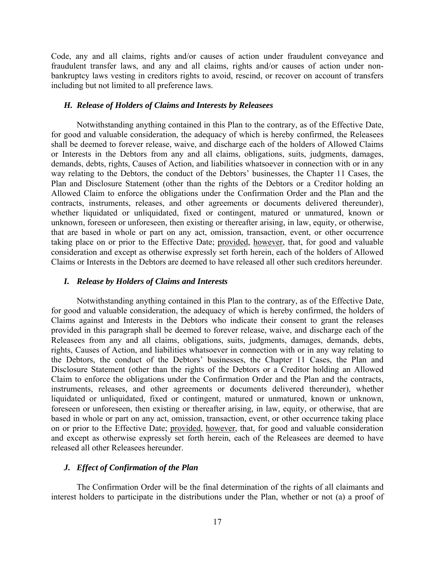Code, any and all claims, rights and/or causes of action under fraudulent conveyance and fraudulent transfer laws, and any and all claims, rights and/or causes of action under nonbankruptcy laws vesting in creditors rights to avoid, rescind, or recover on account of transfers including but not limited to all preference laws.

## *H. Release of Holders of Claims and Interests by Releasees*

Notwithstanding anything contained in this Plan to the contrary, as of the Effective Date, for good and valuable consideration, the adequacy of which is hereby confirmed, the Releasees shall be deemed to forever release, waive, and discharge each of the holders of Allowed Claims or Interests in the Debtors from any and all claims, obligations, suits, judgments, damages, demands, debts, rights, Causes of Action, and liabilities whatsoever in connection with or in any way relating to the Debtors, the conduct of the Debtors' businesses, the Chapter 11 Cases, the Plan and Disclosure Statement (other than the rights of the Debtors or a Creditor holding an Allowed Claim to enforce the obligations under the Confirmation Order and the Plan and the contracts, instruments, releases, and other agreements or documents delivered thereunder), whether liquidated or unliquidated, fixed or contingent, matured or unmatured, known or unknown, foreseen or unforeseen, then existing or thereafter arising, in law, equity, or otherwise, that are based in whole or part on any act, omission, transaction, event, or other occurrence taking place on or prior to the Effective Date; provided, however, that, for good and valuable consideration and except as otherwise expressly set forth herein, each of the holders of Allowed Claims or Interests in the Debtors are deemed to have released all other such creditors hereunder.

#### *I. Release by Holders of Claims and Interests*

Notwithstanding anything contained in this Plan to the contrary, as of the Effective Date, for good and valuable consideration, the adequacy of which is hereby confirmed, the holders of Claims against and Interests in the Debtors who indicate their consent to grant the releases provided in this paragraph shall be deemed to forever release, waive, and discharge each of the Releasees from any and all claims, obligations, suits, judgments, damages, demands, debts, rights, Causes of Action, and liabilities whatsoever in connection with or in any way relating to the Debtors, the conduct of the Debtors' businesses, the Chapter 11 Cases, the Plan and Disclosure Statement (other than the rights of the Debtors or a Creditor holding an Allowed Claim to enforce the obligations under the Confirmation Order and the Plan and the contracts, instruments, releases, and other agreements or documents delivered thereunder), whether liquidated or unliquidated, fixed or contingent, matured or unmatured, known or unknown, foreseen or unforeseen, then existing or thereafter arising, in law, equity, or otherwise, that are based in whole or part on any act, omission, transaction, event, or other occurrence taking place on or prior to the Effective Date; provided, however, that, for good and valuable consideration and except as otherwise expressly set forth herein, each of the Releasees are deemed to have released all other Releasees hereunder.

## *J. Effect of Confirmation of the Plan*

The Confirmation Order will be the final determination of the rights of all claimants and interest holders to participate in the distributions under the Plan, whether or not (a) a proof of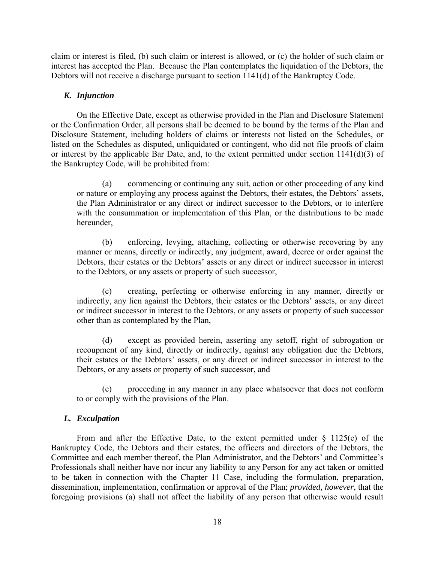claim or interest is filed, (b) such claim or interest is allowed, or (c) the holder of such claim or interest has accepted the Plan. Because the Plan contemplates the liquidation of the Debtors, the Debtors will not receive a discharge pursuant to section 1141(d) of the Bankruptcy Code.

## *K. Injunction*

On the Effective Date, except as otherwise provided in the Plan and Disclosure Statement or the Confirmation Order, all persons shall be deemed to be bound by the terms of the Plan and Disclosure Statement, including holders of claims or interests not listed on the Schedules, or listed on the Schedules as disputed, unliquidated or contingent, who did not file proofs of claim or interest by the applicable Bar Date, and, to the extent permitted under section 1141(d)(3) of the Bankruptcy Code, will be prohibited from:

(a) commencing or continuing any suit, action or other proceeding of any kind or nature or employing any process against the Debtors, their estates, the Debtors' assets, the Plan Administrator or any direct or indirect successor to the Debtors, or to interfere with the consummation or implementation of this Plan, or the distributions to be made hereunder,

(b) enforcing, levying, attaching, collecting or otherwise recovering by any manner or means, directly or indirectly, any judgment, award, decree or order against the Debtors, their estates or the Debtors' assets or any direct or indirect successor in interest to the Debtors, or any assets or property of such successor,

(c) creating, perfecting or otherwise enforcing in any manner, directly or indirectly, any lien against the Debtors, their estates or the Debtors' assets, or any direct or indirect successor in interest to the Debtors, or any assets or property of such successor other than as contemplated by the Plan,

(d) except as provided herein, asserting any setoff, right of subrogation or recoupment of any kind, directly or indirectly, against any obligation due the Debtors, their estates or the Debtors' assets, or any direct or indirect successor in interest to the Debtors, or any assets or property of such successor, and

(e) proceeding in any manner in any place whatsoever that does not conform to or comply with the provisions of the Plan.

## *L. Exculpation*

From and after the Effective Date, to the extent permitted under  $\S$  1125(e) of the Bankruptcy Code, the Debtors and their estates, the officers and directors of the Debtors, the Committee and each member thereof, the Plan Administrator, and the Debtors' and Committee's Professionals shall neither have nor incur any liability to any Person for any act taken or omitted to be taken in connection with the Chapter 11 Case, including the formulation, preparation, dissemination, implementation, confirmation or approval of the Plan; *provided, however*, that the foregoing provisions (a) shall not affect the liability of any person that otherwise would result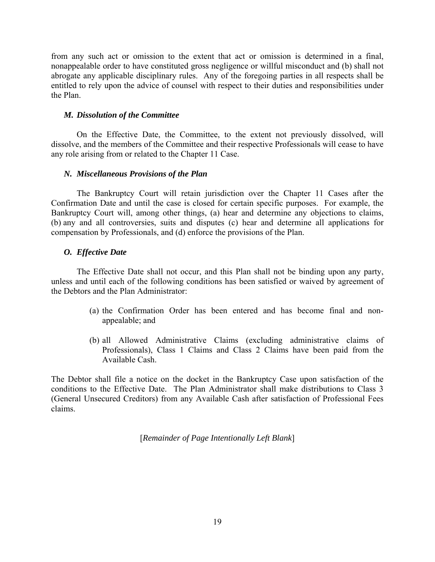from any such act or omission to the extent that act or omission is determined in a final, nonappealable order to have constituted gross negligence or willful misconduct and (b) shall not abrogate any applicable disciplinary rules. Any of the foregoing parties in all respects shall be entitled to rely upon the advice of counsel with respect to their duties and responsibilities under the Plan.

## *M. Dissolution of the Committee*

On the Effective Date, the Committee, to the extent not previously dissolved, will dissolve, and the members of the Committee and their respective Professionals will cease to have any role arising from or related to the Chapter 11 Case.

## *N. Miscellaneous Provisions of the Plan*

The Bankruptcy Court will retain jurisdiction over the Chapter 11 Cases after the Confirmation Date and until the case is closed for certain specific purposes. For example, the Bankruptcy Court will, among other things, (a) hear and determine any objections to claims, (b) any and all controversies, suits and disputes (c) hear and determine all applications for compensation by Professionals, and (d) enforce the provisions of the Plan.

## *O. Effective Date*

The Effective Date shall not occur, and this Plan shall not be binding upon any party, unless and until each of the following conditions has been satisfied or waived by agreement of the Debtors and the Plan Administrator:

- (a) the Confirmation Order has been entered and has become final and nonappealable; and
- (b) all Allowed Administrative Claims (excluding administrative claims of Professionals), Class 1 Claims and Class 2 Claims have been paid from the Available Cash.

The Debtor shall file a notice on the docket in the Bankruptcy Case upon satisfaction of the conditions to the Effective Date. The Plan Administrator shall make distributions to Class 3 (General Unsecured Creditors) from any Available Cash after satisfaction of Professional Fees claims.

[*Remainder of Page Intentionally Left Blank*]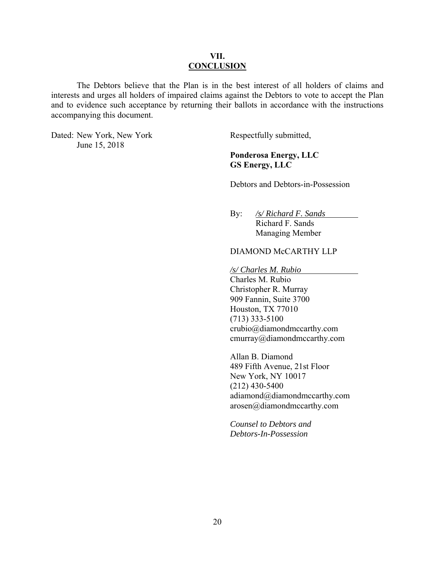## **VII. CONCLUSION**

The Debtors believe that the Plan is in the best interest of all holders of claims and interests and urges all holders of impaired claims against the Debtors to vote to accept the Plan and to evidence such acceptance by returning their ballots in accordance with the instructions accompanying this document.

Dated: New York, New York Respectfully submitted, June 15, 2018

# **Ponderosa Energy, LLC GS Energy, LLC**

Debtors and Debtors-in-Possession

 By: */s/ Richard F. Sands*  Richard F. Sands Managing Member

## DIAMOND McCARTHY LLP

*/s/ Charles M. Rubio* 

Charles M. Rubio Christopher R. Murray 909 Fannin, Suite 3700 Houston, TX 77010 (713) 333-5100 crubio@diamondmccarthy.com cmurray@diamondmccarthy.com

Allan B. Diamond 489 Fifth Avenue, 21st Floor New York, NY 10017 (212) 430-5400 adiamond@diamondmccarthy.com arosen@diamondmccarthy.com

*Counsel to Debtors and Debtors-In-Possession*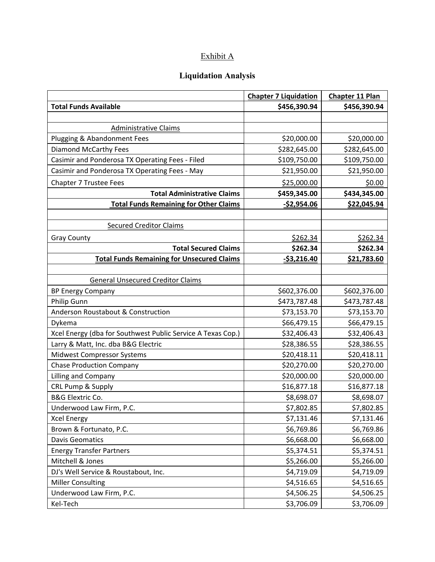# Exhibit A

# **Liquidation Analysis**

|                                                             | <b>Chapter 7 Liquidation</b> | <b>Chapter 11 Plan</b> |
|-------------------------------------------------------------|------------------------------|------------------------|
| <b>Total Funds Available</b>                                | \$456,390.94                 | \$456,390.94           |
|                                                             |                              |                        |
| <b>Administrative Claims</b>                                |                              |                        |
| Plugging & Abandonment Fees                                 | \$20,000.00                  | \$20,000.00            |
| <b>Diamond McCarthy Fees</b>                                | \$282,645.00                 | \$282,645.00           |
| Casimir and Ponderosa TX Operating Fees - Filed             | \$109,750.00                 | \$109,750.00           |
| Casimir and Ponderosa TX Operating Fees - May               | \$21,950.00                  | \$21,950.00            |
| Chapter 7 Trustee Fees                                      | \$25,000.00                  | \$0.00                 |
| <b>Total Administrative Claims</b>                          | \$459,345.00                 | \$434,345.00           |
| <b>Total Funds Remaining for Other Claims</b>               | $-52,954.06$                 | \$22,045.94            |
|                                                             |                              |                        |
| <b>Secured Creditor Claims</b>                              |                              |                        |
| <b>Gray County</b>                                          | \$262.34                     | \$262.34               |
| <b>Total Secured Claims</b>                                 | \$262.34                     | \$262.34               |
| <b>Total Funds Remaining for Unsecured Claims</b>           | $-53,216.40$                 | \$21,783.60            |
|                                                             |                              |                        |
| <b>General Unsecured Creditor Claims</b>                    |                              |                        |
| <b>BP Energy Company</b>                                    | \$602,376.00                 | \$602,376.00           |
| Philip Gunn                                                 | \$473,787.48                 | \$473,787.48           |
| Anderson Roustabout & Construction                          | \$73,153.70                  | \$73,153.70            |
| Dykema                                                      | \$66,479.15                  | \$66,479.15            |
| Xcel Energy (dba for Southwest Public Service A Texas Cop.) | \$32,406.43                  | \$32,406.43            |
| Larry & Matt, Inc. dba B&G Electric                         | \$28,386.55                  | \$28,386.55            |
| Midwest Compressor Systems                                  | \$20,418.11                  | \$20,418.11            |
| <b>Chase Production Company</b>                             | \$20,270.00                  | \$20,270.00            |
| Lilling and Company                                         | \$20,000.00                  | \$20,000.00            |
| CRL Pump & Supply                                           | \$16,877.18                  | \$16,877.18            |
| <b>B&amp;G Elextric Co.</b>                                 | \$8,698.07                   | \$8,698.07             |
| Underwood Law Firm, P.C.                                    | \$7,802.85                   | \$7,802.85             |
| <b>Xcel Energy</b>                                          | \$7,131.46                   | \$7,131.46             |
| Brown & Fortunato, P.C.                                     | \$6,769.86                   | \$6,769.86             |
| <b>Davis Geomatics</b>                                      | \$6,668.00                   | \$6,668.00             |
| <b>Energy Transfer Partners</b>                             | \$5,374.51                   | \$5,374.51             |
| Mitchell & Jones                                            | \$5,266.00                   | \$5,266.00             |
| DJ's Well Service & Roustabout, Inc.                        | \$4,719.09                   | \$4,719.09             |
| <b>Miller Consulting</b>                                    | \$4,516.65                   | \$4,516.65             |
| Underwood Law Firm, P.C.                                    | \$4,506.25                   | \$4,506.25             |
| Kel-Tech                                                    | \$3,706.09                   | \$3,706.09             |